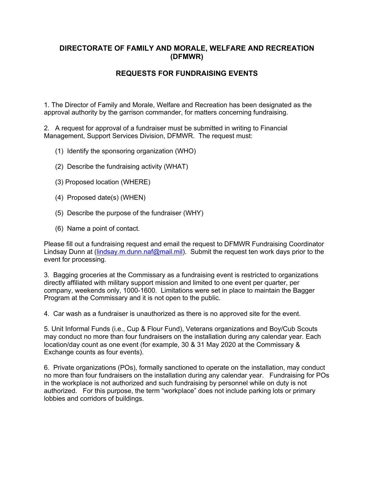## **DIRECTORATE OF FAMILY AND MORALE, WELFARE AND RECREATION (DFMWR)**

## **REQUESTS FOR FUNDRAISING EVENTS**

1. The Director of Family and Morale, Welfare and Recreation has been designated as the approval authority by the garrison commander, for matters concerning fundraising.

2. A request for approval of a fundraiser must be submitted in writing to Financial Management, Support Services Division, DFMWR. The request must:

- (1) Identify the sponsoring organization (WHO)
- (2) Describe the fundraising activity (WHAT)
- (3) Proposed location (WHERE)
- (4) Proposed date(s) (WHEN)
- (5) Describe the purpose of the fundraiser (WHY)
- (6) Name a point of contact.

Please fill out a fundraising request and email the request to DFMWR Fundraising Coordinator Lindsay Dunn at (lindsay.m.dunn.naf@mail.mil). Submit the request ten work days prior to the event for processing.

3. Bagging groceries at the Commissary as a fundraising event is restricted to organizations directly affiliated with military support mission and limited to one event per quarter, per company, weekends only, 1000-1600. Limitations were set in place to maintain the Bagger Program at the Commissary and it is not open to the public.

4. Car wash as a fundraiser is unauthorized as there is no approved site for the event.

5. Unit Informal Funds (i.e., Cup & Flour Fund), Veterans organizations and Boy/Cub Scouts may conduct no more than four fundraisers on the installation during any calendar year. Each location/day count as one event (for example, 30 & 31 May 2020 at the Commissary & Exchange counts as four events).

6. Private organizations (POs), formally sanctioned to operate on the installation, may conduct no more than four fundraisers on the installation during any calendar year. Fundraising for POs in the workplace is not authorized and such fundraising by personnel while on duty is not authorized. For this purpose, the term "workplace" does not include parking lots or primary lobbies and corridors of buildings.